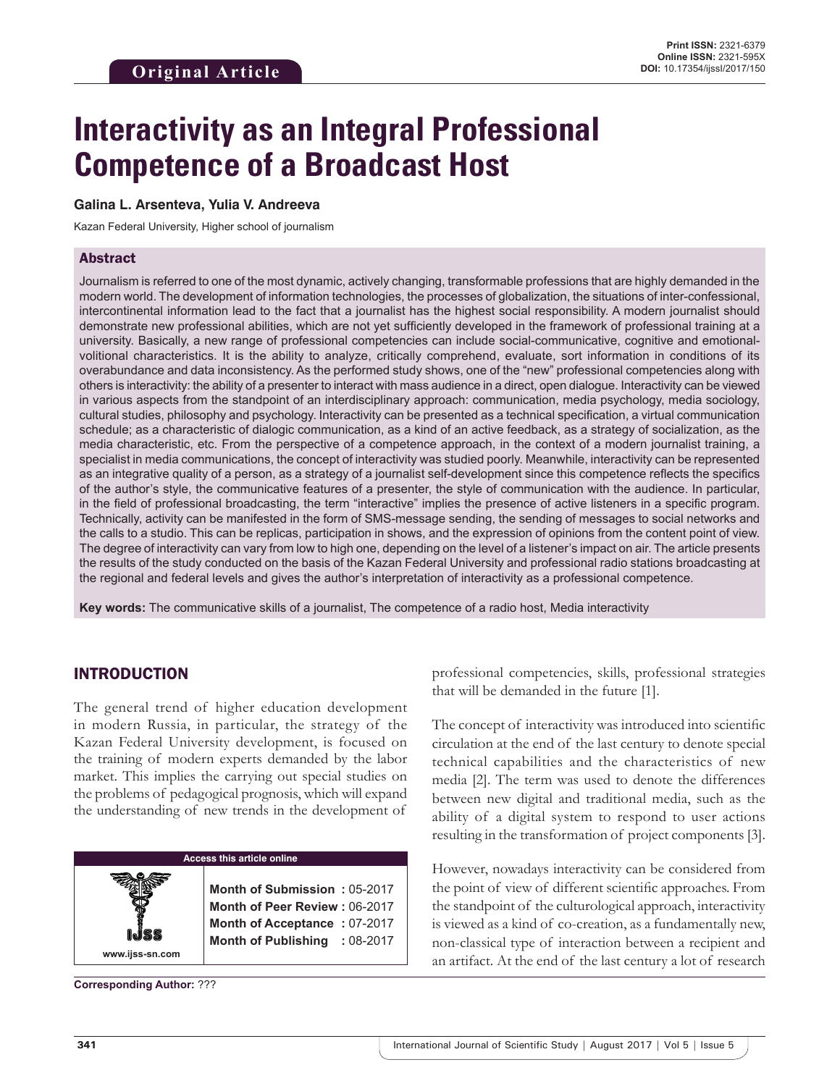# **Interactivity as an Integral Professional Competence of a Broadcast Host**

#### **Galina L. Arsenteva, Yulia V. Andreeva**

Kazan Federal University, Higher school of journalism

#### Аbstract

Journalism is referred to one of the most dynamic, actively changing, transformable professions that are highly demanded in the modern world. The development of information technologies, the processes of globalization, the situations of inter-confessional, intercontinental information lead to the fact that a journalist has the highest social responsibility. A modern journalist should demonstrate new professional abilities, which are not yet sufficiently developed in the framework of professional training at a university. Basically, a new range of professional competencies can include social-communicative, cognitive and emotionalvolitional characteristics. It is the ability to analyze, critically comprehend, evaluate, sort information in conditions of its overabundance and data inconsistency. As the performed study shows, one of the "new" professional competencies along with others is interactivity: the ability of a presenter to interact with mass audience in a direct, open dialogue. Interactivity can be viewed in various aspects from the standpoint of an interdisciplinary approach: communication, media psychology, media sociology, cultural studies, philosophy and psychology. Interactivity can be presented as a technical specification, a virtual communication schedule; as a characteristic of dialogic communication, as a kind of an active feedback, as a strategy of socialization, as the media characteristic, etc. From the perspective of a competence approach, in the context of a modern journalist training, a specialist in media communications, the concept of interactivity was studied poorly. Meanwhile, interactivity can be represented as an integrative quality of a person, as a strategy of a journalist self-development since this competence reflects the specifics of the author's style, the communicative features of a presenter, the style of communication with the audience. In particular, in the field of professional broadcasting, the term "interactive" implies the presence of active listeners in a specific program. Technically, activity can be manifested in the form of SMS-message sending, the sending of messages to social networks and the calls to a studio. This can be replicas, participation in shows, and the expression of opinions from the content point of view. The degree of interactivity can vary from low to high one, depending on the level of a listener's impact on air. The article presents the results of the study conducted on the basis of the Kazan Federal University and professional radio stations broadcasting at the regional and federal levels and gives the author's interpretation of interactivity as a professional competence.

**Key words:** The communicative skills of a journalist, The competence of a radio host, Media interactivity

#### INTRODUCTION

The general trend of higher education development in modern Russia, in particular, the strategy of the Kazan Federal University development, is focused on the training of modern experts demanded by the labor market. This implies the carrying out special studies on the problems of pedagogical prognosis, which will expand the understanding of new trends in the development of

#### **Access this article online**

**www.ijss-sn.com**

**Month of Submission :** 05-2017 **Month of Peer Review :** 06-2017 **Month of Acceptance :** 07-2017 **Month of Publishing :** 08-2017

**Corresponding Author:** ???

professional competencies, skills, professional strategies that will be demanded in the future [1].

The concept of interactivity was introduced into scientific circulation at the end of the last century to denote special technical capabilities and the characteristics of new media [2]. The term was used to denote the differences between new digital and traditional media, such as the ability of a digital system to respond to user actions resulting in the transformation of project components [3].

However, nowadays interactivity can be considered from the point of view of different scientific approaches. From the standpoint of the culturological approach, interactivity is viewed as a kind of co-creation, as a fundamentally new, non-classical type of interaction between a recipient and an artifact. At the end of the last century a lot of research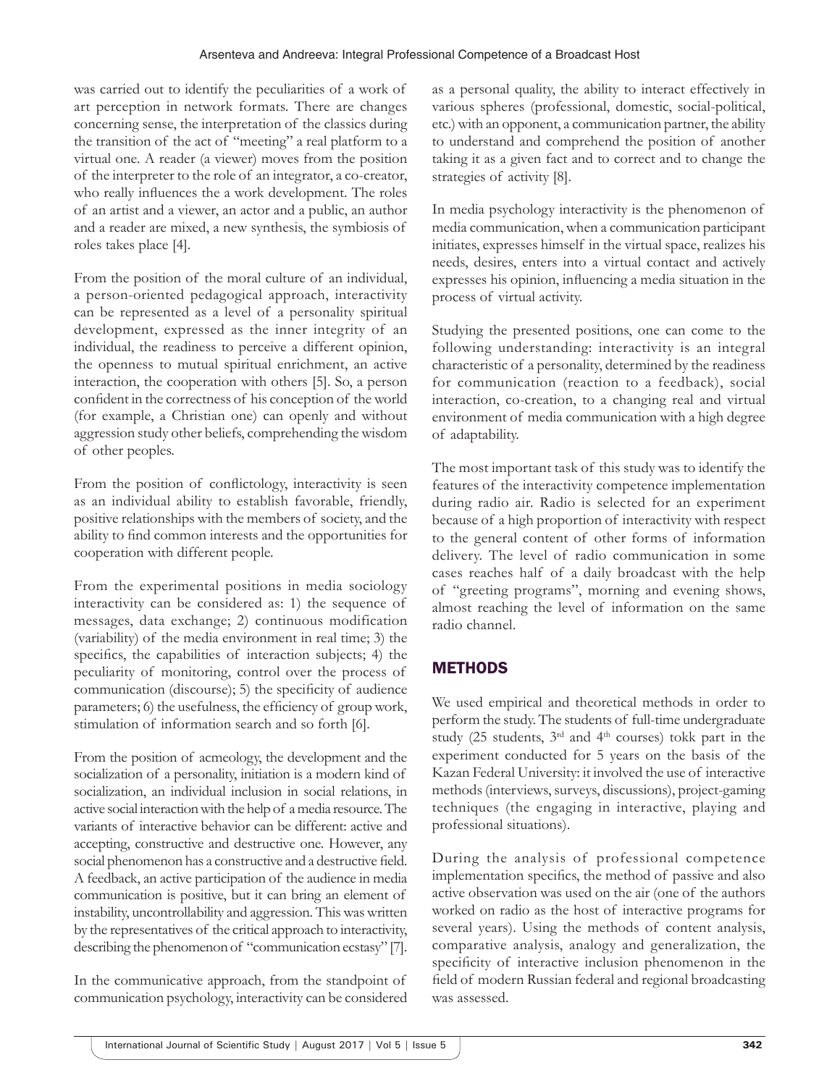was carried out to identify the peculiarities of a work of art perception in network formats. There are changes concerning sense, the interpretation of the classics during the transition of the act of "meeting" a real platform to a virtual one. A reader (a viewer) moves from the position of the interpreter to the role of an integrator, a co-creator, who really influences the a work development. The roles of an artist and a viewer, an actor and a public, an author and a reader are mixed, a new synthesis, the symbiosis of roles takes place [4].

From the position of the moral culture of an individual, a person-oriented pedagogical approach, interactivity can be represented as a level of a personality spiritual development, expressed as the inner integrity of an individual, the readiness to perceive a different opinion, the openness to mutual spiritual enrichment, an active interaction, the cooperation with others [5]. So, a person confident in the correctness of his conception of the world (for example, a Christian one) can openly and without aggression study other beliefs, comprehending the wisdom of other peoples.

From the position of conflictology, interactivity is seen as an individual ability to establish favorable, friendly, positive relationships with the members of society, and the ability to find common interests and the opportunities for cooperation with different people.

From the experimental positions in media sociology interactivity can be considered as: 1) the sequence of messages, data exchange; 2) continuous modification (variability) of the media environment in real time; 3) the specifics, the capabilities of interaction subjects; 4) the peculiarity of monitoring, control over the process of communication (discourse); 5) the specificity of audience parameters; 6) the usefulness, the efficiency of group work, stimulation of information search and so forth [6].

From the position of acmeology, the development and the socialization of a personality, initiation is a modern kind of socialization, an individual inclusion in social relations, in active social interaction with the help of a media resource. The variants of interactive behavior can be different: active and accepting, constructive and destructive one. However, any social phenomenon has a constructive and a destructive field. A feedback, an active participation of the audience in media communication is positive, but it can bring an element of instability, uncontrollability and aggression. This was written by the representatives of the critical approach to interactivity, describing the phenomenon of "communication ecstasy" [7].

In the communicative approach, from the standpoint of communication psychology, interactivity can be considered as a personal quality, the ability to interact effectively in various spheres (professional, domestic, social-political, etc.) with an opponent, a communication partner, the ability to understand and comprehend the position of another taking it as a given fact and to correct and to change the strategies of activity [8].

In media psychology interactivity is the phenomenon of media communication, when a communication participant initiates, expresses himself in the virtual space, realizes his needs, desires, enters into a virtual contact and actively expresses his opinion, influencing a media situation in the process of virtual activity.

Studying the presented positions, one can come to the following understanding: interactivity is an integral characteristic of a personality, determined by the readiness for communication (reaction to a feedback), social interaction, co-creation, to a changing real and virtual environment of media communication with a high degree of adaptability.

The most important task of this study was to identify the features of the interactivity competence implementation during radio air. Radio is selected for an experiment because of a high proportion of interactivity with respect to the general content of other forms of information delivery. The level of radio communication in some cases reaches half of a daily broadcast with the help of "greeting programs", morning and evening shows, almost reaching the level of information on the same radio channel.

# **METHODS**

We used empirical and theoretical methods in order to perform the study. The students of full-time undergraduate study (25 students,  $3<sup>rd</sup>$  and  $4<sup>th</sup>$  courses) tokk part in the experiment conducted for 5 years on the basis of the Kazan Federal University: it involved the use of interactive methods (interviews, surveys, discussions), project-gaming techniques (the engaging in interactive, playing and professional situations).

During the analysis of professional competence implementation specifics, the method of passive and also active observation was used on the air (one of the authors worked on radio as the host of interactive programs for several years). Using the methods of content analysis, comparative analysis, analogy and generalization, the specificity of interactive inclusion phenomenon in the field of modern Russian federal and regional broadcasting was assessed.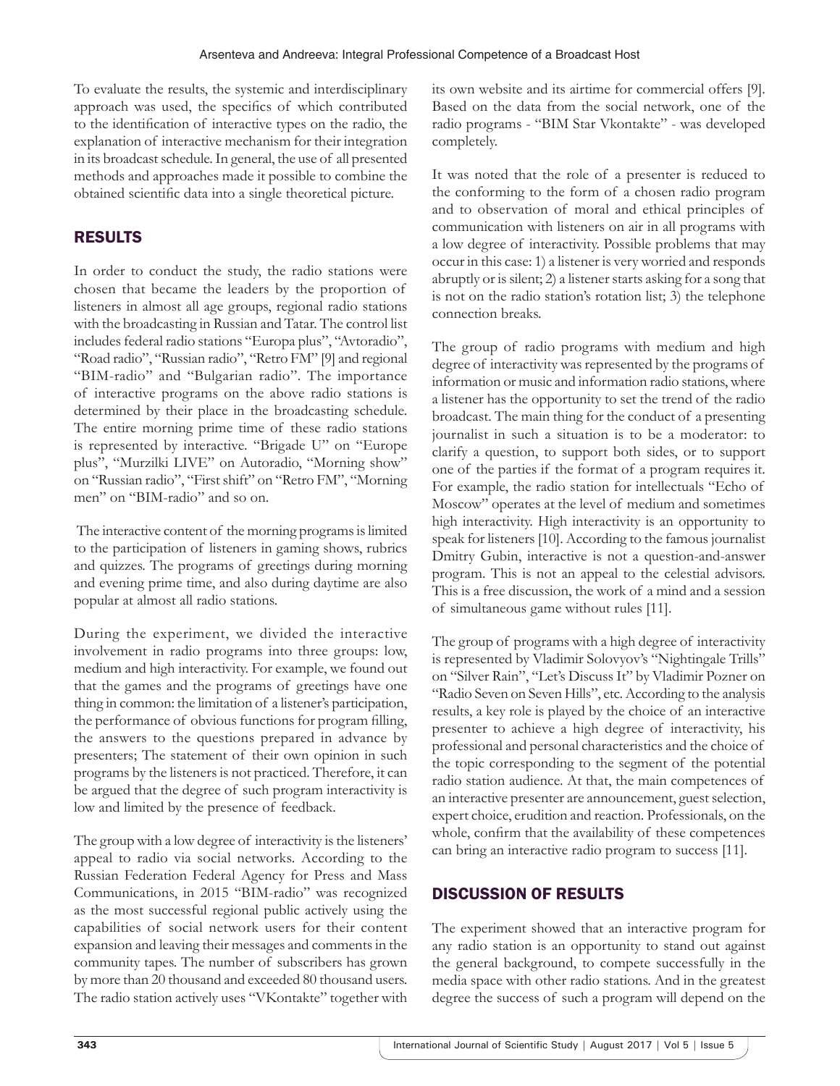To evaluate the results, the systemic and interdisciplinary approach was used, the specifics of which contributed to the identification of interactive types on the radio, the explanation of interactive mechanism for their integration in its broadcast schedule. In general, the use of all presented methods and approaches made it possible to combine the obtained scientific data into a single theoretical picture.

# RESULTS

In order to conduct the study, the radio stations were chosen that became the leaders by the proportion of listeners in almost all age groups, regional radio stations with the broadcasting in Russian and Tatar. The control list includes federal radio stations "Europa plus", "Avtoradio", "Road radio", "Russian radio", "Retro FM" [9] and regional "BIM-radio" and "Bulgarian radio". The importance of interactive programs on the above radio stations is determined by their place in the broadcasting schedule. The entire morning prime time of these radio stations is represented by interactive. "Brigade U" on "Europe plus", "Murzilki LIVE" on Autoradio, "Morning show" on "Russian radio", "First shift" on "Retro FM", "Morning men" on "BIM-radio" and so on.

 The interactive content of the morning programs is limited to the participation of listeners in gaming shows, rubrics and quizzes. The programs of greetings during morning and evening prime time, and also during daytime are also popular at almost all radio stations.

During the experiment, we divided the interactive involvement in radio programs into three groups: low, medium and high interactivity. For example, we found out that the games and the programs of greetings have one thing in common: the limitation of a listener's participation, the performance of obvious functions for program filling, the answers to the questions prepared in advance by presenters; The statement of their own opinion in such programs by the listeners is not practiced. Therefore, it can be argued that the degree of such program interactivity is low and limited by the presence of feedback.

The group with a low degree of interactivity is the listeners' appeal to radio via social networks. According to the Russian Federation Federal Agency for Press and Mass Communications, in 2015 "BIM-radio" was recognized as the most successful regional public actively using the capabilities of social network users for their content expansion and leaving their messages and comments in the community tapes. The number of subscribers has grown by more than 20 thousand and exceeded 80 thousand users. The radio station actively uses "VKontakte" together with

its own website and its airtime for commercial offers [9]. Based on the data from the social network, one of the radio programs - "BIM Star Vkontakte" - was developed completely.

It was noted that the role of a presenter is reduced to the conforming to the form of a chosen radio program and to observation of moral and ethical principles of communication with listeners on air in all programs with a low degree of interactivity. Possible problems that may occur in this case: 1) a listener is very worried and responds abruptly or is silent; 2) a listener starts asking for a song that is not on the radio station's rotation list; 3) the telephone connection breaks.

The group of radio programs with medium and high degree of interactivity was represented by the programs of information or music and information radio stations, where a listener has the opportunity to set the trend of the radio broadcast. The main thing for the conduct of a presenting journalist in such a situation is to be a moderator: to clarify a question, to support both sides, or to support one of the parties if the format of a program requires it. For example, the radio station for intellectuals "Echo of Moscow" operates at the level of medium and sometimes high interactivity. High interactivity is an opportunity to speak for listeners [10]. According to the famous journalist Dmitry Gubin, interactive is not a question-and-answer program. This is not an appeal to the celestial advisors. This is a free discussion, the work of a mind and a session of simultaneous game without rules [11].

The group of programs with a high degree of interactivity is represented by Vladimir Solovyov's "Nightingale Trills" on "Silver Rain", "Let's Discuss It" by Vladimir Pozner on "Radio Seven on Seven Hills", etc. According to the analysis results, a key role is played by the choice of an interactive presenter to achieve a high degree of interactivity, his professional and personal characteristics and the choice of the topic corresponding to the segment of the potential radio station audience. At that, the main competences of an interactive presenter are announcement, guest selection, expert choice, erudition and reaction. Professionals, on the whole, confirm that the availability of these competences can bring an interactive radio program to success [11].

# DISCUSSION OF RESULTS

The experiment showed that an interactive program for any radio station is an opportunity to stand out against the general background, to compete successfully in the media space with other radio stations. And in the greatest degree the success of such a program will depend on the